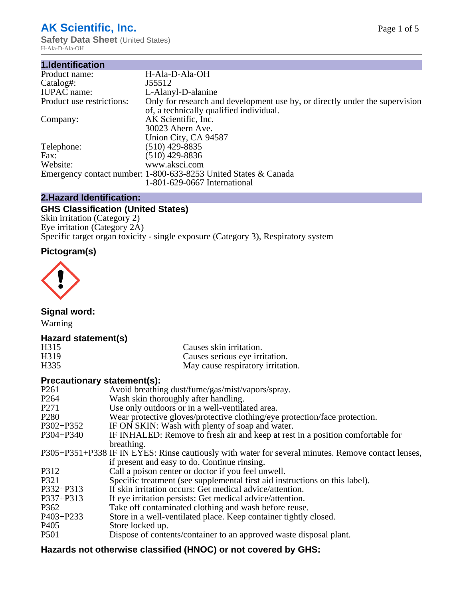# **AK Scientific, Inc.**

**Safety Data Sheet (United States)** H-Ala-D-Ala-OH

| 1.Identification          |                                                                                                                        |
|---------------------------|------------------------------------------------------------------------------------------------------------------------|
| Product name:             | H-Ala-D-Ala-OH                                                                                                         |
| Catalog#:                 | J55512                                                                                                                 |
| <b>IUPAC</b> name:        | L-Alanyl-D-alanine                                                                                                     |
| Product use restrictions: | Only for research and development use by, or directly under the supervision<br>of, a technically qualified individual. |
| Company:                  | AK Scientific, Inc.                                                                                                    |
|                           | 30023 Ahern Ave.                                                                                                       |
|                           | Union City, CA 94587                                                                                                   |
| Telephone:                | $(510)$ 429-8835                                                                                                       |
| Fax:                      | $(510)$ 429-8836                                                                                                       |
| Website:                  | www.aksci.com                                                                                                          |
|                           | Emergency contact number: 1-800-633-8253 United States & Canada                                                        |
|                           | 1-801-629-0667 International                                                                                           |
|                           |                                                                                                                        |

# **2.Hazard Identification:**

# **GHS Classification (United States)**

Skin irritation (Category 2) Eye irritation (Category 2A) Specific target organ toxicity - single exposure (Category 3), Respiratory system

# **Pictogram(s)**



**Signal word:**

Warning

### **Hazard statement(s)**

| H <sub>315</sub>  | Causes skin irritation.           |
|-------------------|-----------------------------------|
| H <sub>3</sub> 19 | Causes serious eye irritation.    |
| H335              | May cause respiratory irritation. |

### **Precautionary statement(s):**

| P <sub>261</sub> | Avoid breathing dust/fume/gas/mist/vapors/spray.                                                   |
|------------------|----------------------------------------------------------------------------------------------------|
| P <sub>264</sub> | Wash skin thoroughly after handling.                                                               |
| P <sub>271</sub> | Use only outdoors or in a well-ventilated area.                                                    |
| P <sub>280</sub> | Wear protective gloves/protective clothing/eye protection/face protection.                         |
| P302+P352        | IF ON SKIN: Wash with plenty of soap and water.                                                    |
| $P304 + P340$    | IF INHALED: Remove to fresh air and keep at rest in a position comfortable for                     |
|                  | breathing.                                                                                         |
|                  | P305+P351+P338 IF IN EYES: Rinse cautiously with water for several minutes. Remove contact lenses, |
|                  | if present and easy to do. Continue rinsing.                                                       |
| P312             | Call a poison center or doctor if you feel unwell.                                                 |
| P321             | Specific treatment (see supplemental first aid instructions on this label).                        |
| P332+P313        | If skin irritation occurs: Get medical advice/attention.                                           |
| P337+P313        | If eye irritation persists: Get medical advice/attention.                                          |
| P362             | Take off contaminated clothing and wash before reuse.                                              |
| $P403 + P233$    | Store in a well-ventilated place. Keep container tightly closed.                                   |
| P <sub>405</sub> | Store locked up.                                                                                   |
| P <sub>501</sub> | Dispose of contents/container to an approved waste disposal plant.                                 |
|                  |                                                                                                    |

# **Hazards not otherwise classified (HNOC) or not covered by GHS:**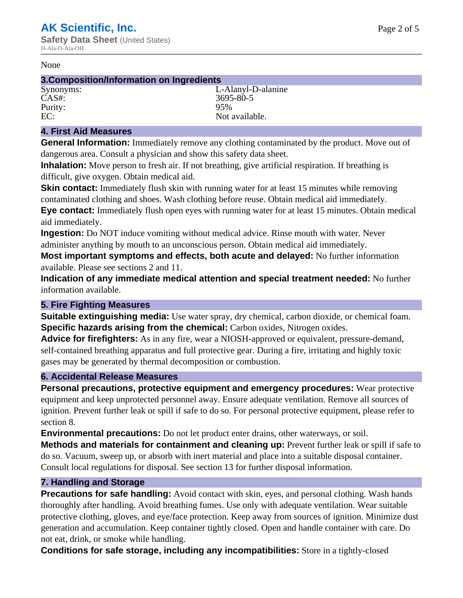#### None

#### **3.Composition/Information on Ingredients**

CAS#: 3695-80-5<br>Purity: 95% 95% Purity:<br>EC:

Synonyms: L-Alanyl-D-alanine Not available.

#### **4. First Aid Measures**

**General Information:** Immediately remove any clothing contaminated by the product. Move out of dangerous area. Consult a physician and show this safety data sheet.

**Inhalation:** Move person to fresh air. If not breathing, give artificial respiration. If breathing is difficult, give oxygen. Obtain medical aid.

**Skin contact:** Immediately flush skin with running water for at least 15 minutes while removing contaminated clothing and shoes. Wash clothing before reuse. Obtain medical aid immediately. **Eye contact:** Immediately flush open eyes with running water for at least 15 minutes. Obtain medical aid immediately.

**Ingestion:** Do NOT induce vomiting without medical advice. Rinse mouth with water. Never administer anything by mouth to an unconscious person. Obtain medical aid immediately.

**Most important symptoms and effects, both acute and delayed:** No further information available. Please see sections 2 and 11.

**Indication of any immediate medical attention and special treatment needed:** No further information available.

#### **5. Fire Fighting Measures**

**Suitable extinguishing media:** Use water spray, dry chemical, carbon dioxide, or chemical foam. **Specific hazards arising from the chemical:** Carbon oxides, Nitrogen oxides.

**Advice for firefighters:** As in any fire, wear a NIOSH-approved or equivalent, pressure-demand, self-contained breathing apparatus and full protective gear. During a fire, irritating and highly toxic gases may be generated by thermal decomposition or combustion.

#### **6. Accidental Release Measures**

**Personal precautions, protective equipment and emergency procedures:** Wear protective equipment and keep unprotected personnel away. Ensure adequate ventilation. Remove all sources of ignition. Prevent further leak or spill if safe to do so. For personal protective equipment, please refer to section 8.

**Environmental precautions:** Do not let product enter drains, other waterways, or soil.

**Methods and materials for containment and cleaning up:** Prevent further leak or spill if safe to do so. Vacuum, sweep up, or absorb with inert material and place into a suitable disposal container. Consult local regulations for disposal. See section 13 for further disposal information.

#### **7. Handling and Storage**

**Precautions for safe handling:** Avoid contact with skin, eyes, and personal clothing. Wash hands thoroughly after handling. Avoid breathing fumes. Use only with adequate ventilation. Wear suitable protective clothing, gloves, and eye/face protection. Keep away from sources of ignition. Minimize dust generation and accumulation. Keep container tightly closed. Open and handle container with care. Do not eat, drink, or smoke while handling.

**Conditions for safe storage, including any incompatibilities:** Store in a tightly-closed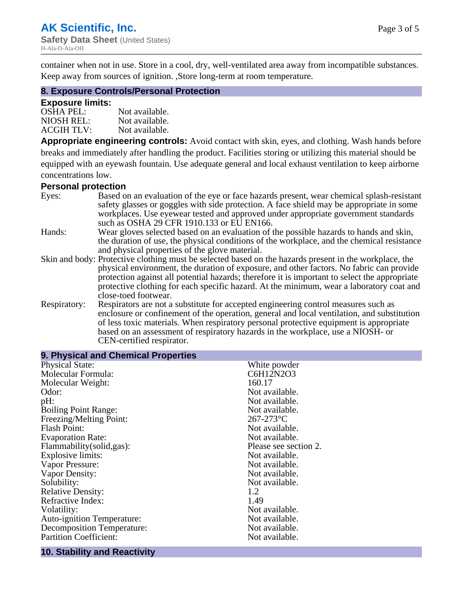container when not in use. Store in a cool, dry, well-ventilated area away from incompatible substances. Keep away from sources of ignition. ,Store long-term at room temperature.

#### **8. Exposure Controls/Personal Protection**

#### **Exposure limits:**

| <b>OSHA PEL:</b>  | Not available. |
|-------------------|----------------|
| NIOSH REL:        | Not available. |
| <b>ACGIH TLV:</b> | Not available. |

**Appropriate engineering controls:** Avoid contact with skin, eyes, and clothing. Wash hands before breaks and immediately after handling the product. Facilities storing or utilizing this material should be equipped with an eyewash fountain. Use adequate general and local exhaust ventilation to keep airborne concentrations low.

#### **Personal protection**

| Eyes:        | Based on an evaluation of the eye or face hazards present, wear chemical splash-resistant<br>safety glasses or goggles with side protection. A face shield may be appropriate in some |
|--------------|---------------------------------------------------------------------------------------------------------------------------------------------------------------------------------------|
|              | workplaces. Use eyewear tested and approved under appropriate government standards<br>such as OSHA 29 CFR 1910.133 or EU EN166.                                                       |
| Hands:       | Wear gloves selected based on an evaluation of the possible hazards to hands and skin,                                                                                                |
|              | the duration of use, the physical conditions of the workplace, and the chemical resistance<br>and physical properties of the glove material.                                          |
|              |                                                                                                                                                                                       |
|              | Skin and body: Protective clothing must be selected based on the hazards present in the workplace, the                                                                                |
|              | physical environment, the duration of exposure, and other factors. No fabric can provide                                                                                              |
|              | protection against all potential hazards; therefore it is important to select the appropriate                                                                                         |
|              | protective clothing for each specific hazard. At the minimum, wear a laboratory coat and                                                                                              |
|              | close-toed footwear.                                                                                                                                                                  |
| Respiratory: | Respirators are not a substitute for accepted engineering control measures such as<br>enclosure or confinement of the operation, general and local ventilation, and substitution      |
|              | of less toxic materials. When respiratory personal protective equipment is appropriate                                                                                                |
|              | based on an assessment of respiratory hazards in the workplace, use a NIOSH- or                                                                                                       |
|              | CEN-certified respirator.                                                                                                                                                             |

| 9. Physical and Chemical Properties |                       |
|-------------------------------------|-----------------------|
| <b>Physical State:</b>              | White powder          |
| Molecular Formula:                  | C6H12N2O3             |
| Molecular Weight:                   | 160.17                |
| Odor:                               | Not available.        |
| pH:                                 | Not available.        |
| <b>Boiling Point Range:</b>         | Not available.        |
| Freezing/Melting Point:             | $267 - 273$ °C        |
| <b>Flash Point:</b>                 | Not available.        |
| <b>Evaporation Rate:</b>            | Not available.        |
| Flammability(solid,gas):            | Please see section 2. |
| Explosive limits:                   | Not available.        |
| Vapor Pressure:                     | Not available.        |
| Vapor Density:                      | Not available.        |
| Solubility:                         | Not available.        |
| <b>Relative Density:</b>            | 1.2                   |
| Refractive Index:                   | 1.49                  |
| Volatility:                         | Not available.        |
| <b>Auto-ignition Temperature:</b>   | Not available.        |
| <b>Decomposition Temperature:</b>   | Not available.        |
| <b>Partition Coefficient:</b>       | Not available.        |
|                                     |                       |

#### **10. Stability and Reactivity**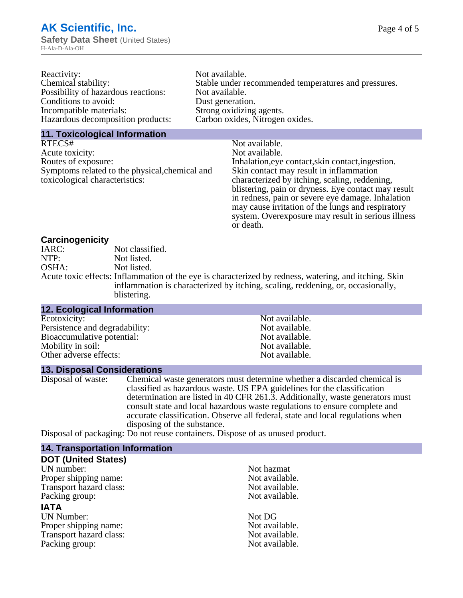| Reactivity:                         | Not available.                                       |
|-------------------------------------|------------------------------------------------------|
| Chemical stability:                 | Stable under recommended temperatures and pressures. |
| Possibility of hazardous reactions: | Not available.                                       |
| Conditions to avoid:                | Dust generation.                                     |
| Incompatible materials:             | Strong oxidizing agents.                             |
| Hazardous decomposition products:   | Carbon oxides, Nitrogen oxides.                      |
|                                     |                                                      |

#### **11. Toxicological Information**

| RTECS#                                         | Not available.                                      |
|------------------------------------------------|-----------------------------------------------------|
| Acute toxicity:                                | Not available.                                      |
| Routes of exposure:                            | Inhalation, eye contact, skin contact, ingestion.   |
| Symptoms related to the physical, chemical and | Skin contact may result in inflammation             |
| toxicological characteristics:                 | characterized by itching, scaling, reddening,       |
|                                                | blistering, pain or dryness. Eye contact may result |
|                                                | in redness, pain or severe eye damage. Inhalation   |
|                                                | may cause irritation of the lungs and respiratory   |
|                                                | system. Overexposure may result in serious illness  |

or death.

#### **Carcinogenicity**

| IARC: | Not classified.                                                                                       |
|-------|-------------------------------------------------------------------------------------------------------|
| NTP:  | Not listed.                                                                                           |
| OSHA: | Not listed.                                                                                           |
|       | Acute toxic effects: Inflammation of the eye is characterized by redness, watering, and itching. Skin |
|       | inflammation is characterized by itching, scaling, reddening, or, occasionally,                       |
|       | blistering.                                                                                           |

| 12. Ecological Information     |                |  |
|--------------------------------|----------------|--|
| Ecotoxicity:                   | Not available. |  |
| Persistence and degradability: | Not available. |  |
| Bioaccumulative potential:     | Not available. |  |
| Mobility in soil:              | Not available. |  |
| Other adverse effects:         | Not available. |  |
|                                |                |  |

#### **13. Disposal Considerations**

Disposal of waste: Chemical waste generators must determine whether a discarded chemical is classified as hazardous waste. US EPA guidelines for the classification determination are listed in 40 CFR 261.3. Additionally, waste generators must consult state and local hazardous waste regulations to ensure complete and accurate classification. Observe all federal, state and local regulations when disposing of the substance.

Disposal of packaging: Do not reuse containers. Dispose of as unused product.

| <b>14. Transportation Information</b> |                |
|---------------------------------------|----------------|
| <b>DOT (United States)</b>            |                |
| UN number:                            | Not hazmat     |
| Proper shipping name:                 | Not available. |
| Transport hazard class:               | Not available. |
| Packing group:                        | Not available. |
| <b>IATA</b>                           |                |
| <b>UN Number:</b>                     | Not DG         |
| Proper shipping name:                 | Not available. |
| Transport hazard class:               | Not available. |
| Packing group:                        | Not available. |